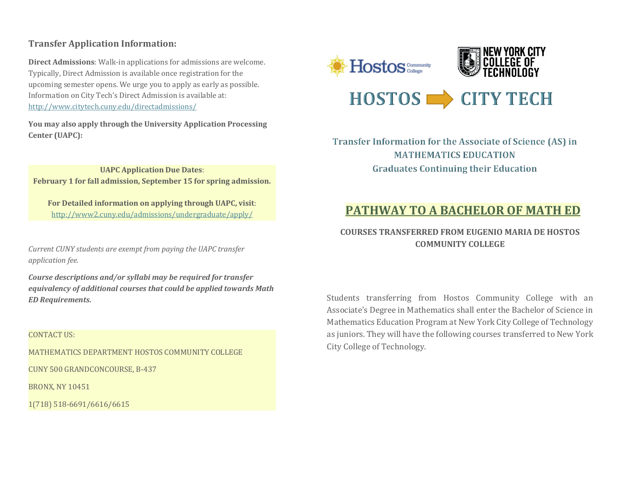## **Transfer Application Information:**

**Direct Admissions**: Walk-in applications for admissions are welcome. Typically, Direct Admission is available once registration for the upcoming semester opens. We urge you to apply as early as possible. Information on City Tech's Direct Admission is available at: <http://www.citytech.cuny.edu/directadmissions/>

**You may also apply through the University Application Processing Center (UAPC):**

**UAPC Application Due Dates**: **February 1 for fall admission, September 15 for spring admission.**

**For Detailed information on applying through UAPC, visit**: <http://www2.cuny.edu/admissions/undergraduate/apply/>

*Current CUNY students are exempt from paying the UAPC transfer application fee.*

*Course descriptions and/or syllabi may be required for transfer equivalency of additional courses that could be applied towards Math ED Requirements.*

#### CONTACT US:

MATHEMATICS DEPARTMENT HOSTOS COMMUNITY COLLEGE

CUNY 500 GRANDCONCOURSE, B-437

BRONX, NY 10451

1(718) 518-6691/6616/6615





**HOSTOS** CITY TECH

# Transfer Information for the Associate of Science (AS) in **MATHEMATICS EDUCATION Graduates Continuing their Education**

# **PATHWAY TO A BACHELOR OF MATH ED**

# **COURSES TRANSFERRED FROM EUGENIO MARIA DE HOSTOS COMMUNITY COLLEGE**

Students transferring from Hostos Community College with an Associate's Degree in Mathematics shall enter the Bachelor of Science in Mathematics Education Program at New York City College of Technology as juniors. They will have the following courses transferred to New York City College of Technology.